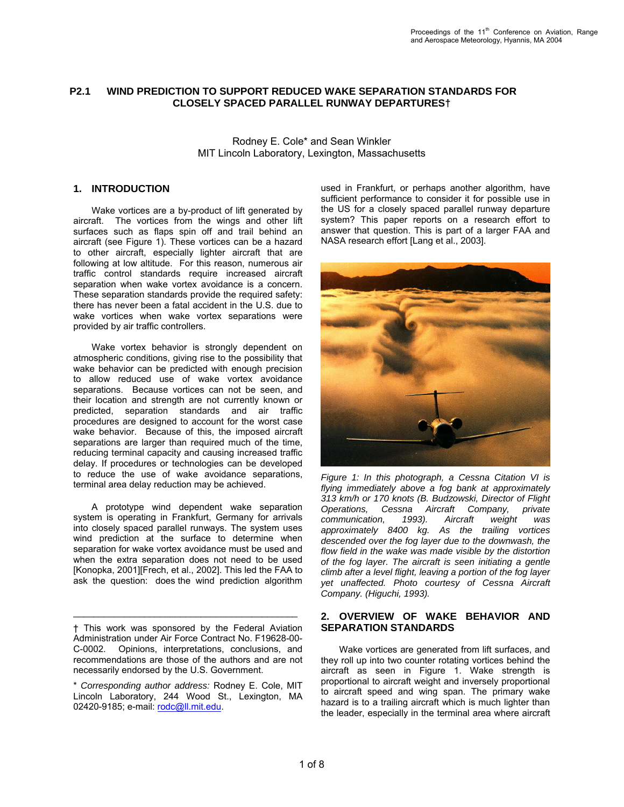#### **WIND PREDICTION TO SUPPORT REDUCED WAKE SEPARATION STANDARDS FOR CLOSELY SPACED PARALLEL RUNWAY DEPARTURES† P2.1**

Rodney E. Cole\* and Sean Winkler MIT Lincoln Laboratory, Lexington, Massachusetts

# **1. INTRODUCTION**

 Wake vortices are a by-product of lift generated by aircraft. The vortices from the wings and other lift surfaces such as flaps spin off and trail behind an aircraft (see Figure 1). These vortices can be a hazard to other aircraft, especially lighter aircraft that are following at low altitude. For this reason, numerous air traffic control standards require increased aircraft separation when wake vortex avoidance is a concern. These separation standards provide the required safety: there has never been a fatal accident in the U.S. due to wake vortices when wake vortex separations were provided by air traffic controllers.

 Wake vortex behavior is strongly dependent on atmospheric conditions, giving rise to the possibility that wake behavior can be predicted with enough precision to allow reduced use of wake vortex avoidance separations. Because vortices can not be seen, and their location and strength are not currently known or predicted, separation standards and air traffic procedures are designed to account for the worst case wake behavior. Because of this, the imposed aircraft separations are larger than required much of the time, reducing terminal capacity and causing increased traffic delay. If procedures or technologies can be developed to reduce the use of wake avoidance separations, terminal area delay reduction may be achieved.

 A prototype wind dependent wake separation system is operating in Frankfurt. Germany for arrivals into closely spaced parallel runways. The system uses wind prediction at the surface to determine when separation for wake vortex avoidance must be used and when the extra separation does not need to be used [Konopka, 2001][Frech, et al., 2002]. This led the FAA to ask the question: does the wind prediction algorithm

\_\_\_\_\_\_\_\_\_\_\_\_\_\_\_\_\_\_\_\_\_\_\_\_\_\_\_\_\_\_\_\_\_\_\_\_\_\_\_\_\_\_\_\_

used in Frankfurt, or perhaps another algorithm, have sufficient performance to consider it for possible use in the US for a closely spaced parallel runway departure system? This paper reports on a research effort to answer that question. This is part of a larger FAA and NASA research effort [Lang et al., 2003].



*Figure 1: In this photograph, a Cessna Citation VI is flying immediately above a fog bank at approximately 313 km/h or 170 knots (B. Budzowski, Director of Flight Operations, Cessna Aircraft Company, private communication, 1993). Aircraft weight was approximately 8400 kg. As the trailing vortices descended over the fog layer due to the downwash, the flow field in the wake was made visible by the distortion of the fog layer. The aircraft is seen initiating a gentle climb after a level flight, leaving a portion of the fog layer yet unaffected. Photo courtesy of Cessna Aircraft Company. (Higuchi, 1993).*

# **2. OVERVIEW OF WAKE BEHAVIOR AND SEPARATION STANDARDS**

 Wake vortices are generated from lift surfaces, and they roll up into two counter rotating vortices behind the aircraft as seen in Figure 1. Wake strength is proportional to aircraft weight and inversely proportional to aircraft speed and wing span. The primary wake hazard is to a trailing aircraft which is much lighter than the leader, especially in the terminal area where aircraft

<sup>†</sup> This work was sponsored by the Federal Aviation Administration under Air Force Contract No. F19628-00- C-0002. Opinions, interpretations, conclusions, and recommendations are those of the authors and are not necessarily endorsed by the U.S. Government.

<sup>\*</sup> *Corresponding author address:* Rodney E. Cole, MIT Lincoln Laboratory, 244 Wood St., Lexington, MA 02420-9185; e-mail: rodc@ll.mit.edu.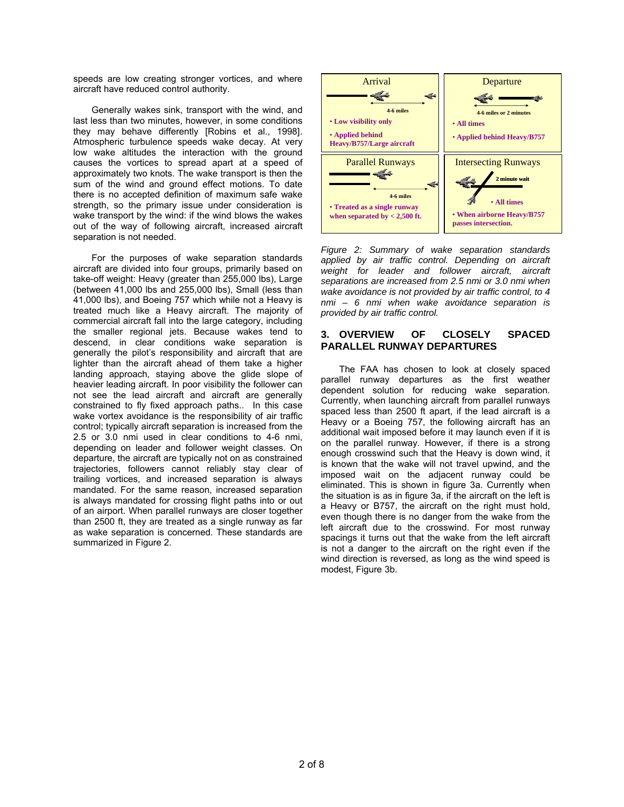speeds are low creating stronger vortices, and where aircraft have reduced control authority.

 Generally wakes sink, transport with the wind, and last less than two minutes, however, in some conditions they may behave differently [Robins et al., 1998]. Atmospheric turbulence speeds wake decay. At very low wake altitudes the interaction with the ground causes the vortices to spread apart at a speed of approximately two knots. The wake transport is then the sum of the wind and ground effect motions. To date there is no accepted definition of maximum safe wake strength, so the primary issue under consideration is wake transport by the wind: if the wind blows the wakes out of the way of following aircraft, increased aircraft separation is not needed.

 For the purposes of wake separation standards aircraft are divided into four groups, primarily based on take-off weight: Heavy (greater than 255,000 lbs), Large (between 41,000 lbs and 255,000 lbs), Small (less than 41,000 lbs), and Boeing 757 which while not a Heavy is treated much like a Heavy aircraft. The majority of commercial aircraft fall into the large category, including the smaller regional jets. Because wakes tend to descend, in clear conditions wake separation is generally the pilot's responsibility and aircraft that are lighter than the aircraft ahead of them take a higher landing approach, staying above the glide slope of heavier leading aircraft. In poor visibility the follower can not see the lead aircraft and aircraft are generally constrained to fly fixed approach paths.. In this case wake vortex avoidance is the responsibility of air traffic control; typically aircraft separation is increased from the 2.5 or 3.0 nmi used in clear conditions to 4-6 nmi, depending on leader and follower weight classes. On departure, the aircraft are typically not on as constrained trajectories, followers cannot reliably stay clear of trailing vortices, and increased separation is always mandated. For the same reason, increased separation is always mandated for crossing flight paths into or out of an airport. When parallel runways are closer together than 2500 ft, they are treated as a single runway as far as wake separation is concerned. These standards are summarized in Figure 2.



*Figure 2: Summary of wake separation standards applied by air traffic control. Depending on aircraft weight for leader and follower aircraft, aircraft separations are increased from 2.5 nmi or 3.0 nmi when wake avoidance is not provided by air traffic control, to 4 nmi – 6 nmi when wake avoidance separation is provided by air traffic control.* 

# **3. OVERVIEW OF CLOSELY SPACED PARALLEL RUNWAY DEPARTURES**

 The FAA has chosen to look at closely spaced parallel runway departures as the first weather dependent solution for reducing wake separation. Currently, when launching aircraft from parallel runways spaced less than 2500 ft apart, if the lead aircraft is a Heavy or a Boeing 757, the following aircraft has an additional wait imposed before it may launch even if it is on the parallel runway. However, if there is a strong enough crosswind such that the Heavy is down wind, it is known that the wake will not travel upwind, and the imposed wait on the adjacent runway could be eliminated. This is shown in figure 3a. Currently when the situation is as in figure 3a, if the aircraft on the left is a Heavy or B757, the aircraft on the right must hold, even though there is no danger from the wake from the left aircraft due to the crosswind. For most runway spacings it turns out that the wake from the left aircraft is not a danger to the aircraft on the right even if the wind direction is reversed, as long as the wind speed is modest, Figure 3b.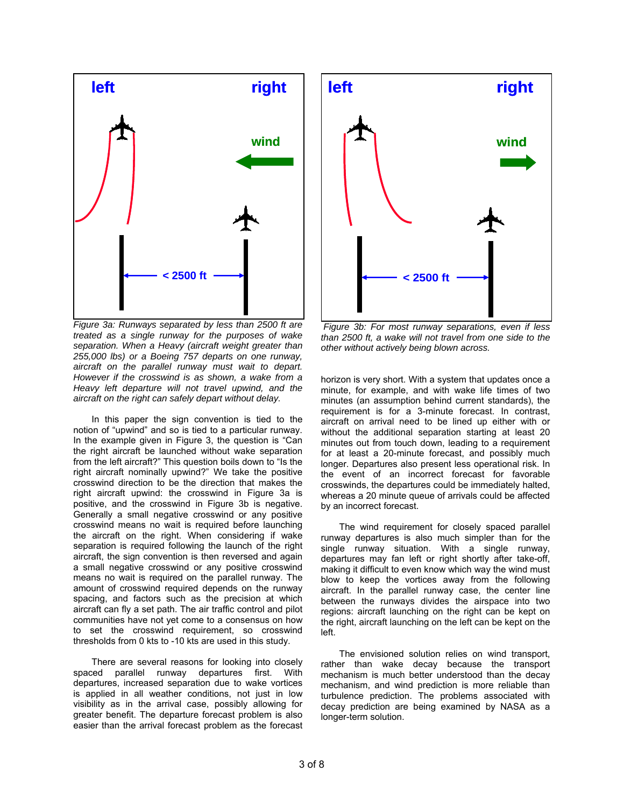

*Figure 3a: Runways separated by less than 2500 ft are treated as a single runway for the purposes of wake separation. When a Heavy (aircraft weight greater than 255,000 lbs) or a Boeing 757 departs on one runway, aircraft on the parallel runway must wait to depart. However if the crosswind is as shown, a wake from a Heavy left departure will not travel upwind, and the aircraft on the right can safely depart without delay.* 

 In this paper the sign convention is tied to the notion of "upwind" and so is tied to a particular runway. In the example given in Figure 3, the question is "Can the right aircraft be launched without wake separation from the left aircraft?" This question boils down to "Is the right aircraft nominally upwind?" We take the positive crosswind direction to be the direction that makes the right aircraft upwind: the crosswind in Figure 3a is positive, and the crosswind in Figure 3b is negative. Generally a small negative crosswind or any positive crosswind means no wait is required before launching the aircraft on the right. When considering if wake separation is required following the launch of the right aircraft, the sign convention is then reversed and again a small negative crosswind or any positive crosswind means no wait is required on the parallel runway. The amount of crosswind required depends on the runway spacing, and factors such as the precision at which aircraft can fly a set path. The air traffic control and pilot communities have not yet come to a consensus on how to set the crosswind requirement, so crosswind thresholds from 0 kts to -10 kts are used in this study.

 There are several reasons for looking into closely spaced parallel runway departures first. With departures, increased separation due to wake vortices is applied in all weather conditions, not just in low visibility as in the arrival case, possibly allowing for greater benefit. The departure forecast problem is also easier than the arrival forecast problem as the forecast



 *Figure 3b: For most runway separations, even if less than 2500 ft, a wake will not travel from one side to the other without actively being blown across.* 

horizon is very short. With a system that updates once a minute, for example, and with wake life times of two minutes (an assumption behind current standards), the requirement is for a 3-minute forecast. In contrast, aircraft on arrival need to be lined up either with or without the additional separation starting at least 20 minutes out from touch down, leading to a requirement for at least a 20-minute forecast, and possibly much longer. Departures also present less operational risk. In the event of an incorrect forecast for favorable crosswinds, the departures could be immediately halted, whereas a 20 minute queue of arrivals could be affected by an incorrect forecast.

 The wind requirement for closely spaced parallel runway departures is also much simpler than for the single runway situation. With a single runway, departures may fan left or right shortly after take-off, making it difficult to even know which way the wind must blow to keep the vortices away from the following aircraft. In the parallel runway case, the center line between the runways divides the airspace into two regions: aircraft launching on the right can be kept on the right, aircraft launching on the left can be kept on the left.

 The envisioned solution relies on wind transport, rather than wake decay because the transport mechanism is much better understood than the decay mechanism, and wind prediction is more reliable than turbulence prediction. The problems associated with decay prediction are being examined by NASA as a longer-term solution.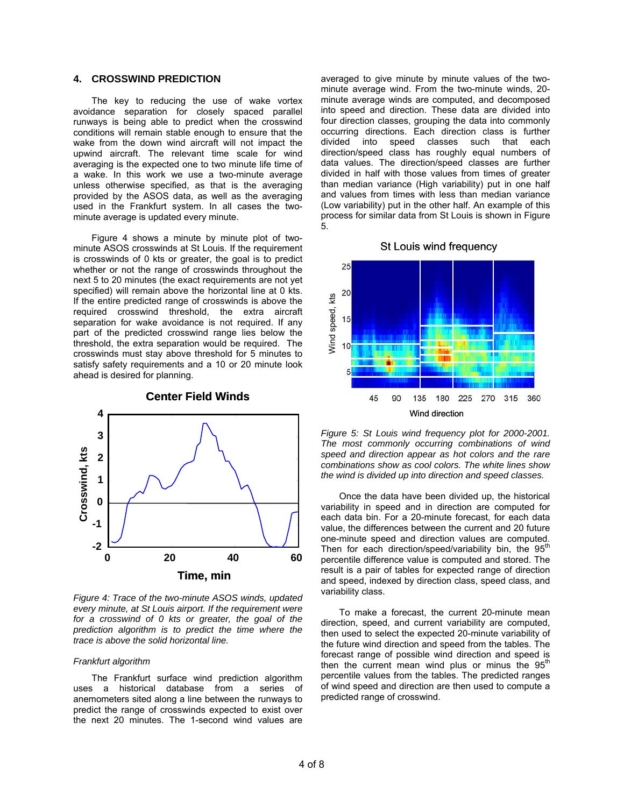# **4. CROSSWIND PREDICTION**

 The key to reducing the use of wake vortex avoidance separation for closely spaced parallel runways is being able to predict when the crosswind conditions will remain stable enough to ensure that the wake from the down wind aircraft will not impact the upwind aircraft. The relevant time scale for wind averaging is the expected one to two minute life time of a wake. In this work we use a two-minute average unless otherwise specified, as that is the averaging provided by the ASOS data, as well as the averaging used in the Frankfurt system. In all cases the twominute average is updated every minute.

 Figure 4 shows a minute by minute plot of twominute ASOS crosswinds at St Louis. If the requirement is crosswinds of 0 kts or greater, the goal is to predict whether or not the range of crosswinds throughout the next 5 to 20 minutes (the exact requirements are not yet specified) will remain above the horizontal line at 0 kts. If the entire predicted range of crosswinds is above the required crosswind threshold, the extra aircraft separation for wake avoidance is not required. If any part of the predicted crosswind range lies below the threshold, the extra separation would be required. The crosswinds must stay above threshold for 5 minutes to satisfy safety requirements and a 10 or 20 minute look ahead is desired for planning.



### **Center Field Winds**

*Figure 4: Trace of the two-minute ASOS winds, updated every minute, at St Louis airport. If the requirement were for a crosswind of 0 kts or greater, the goal of the prediction algorithm is to predict the time where the trace is above the solid horizontal line.*

#### *Frankfurt algorithm*

 The Frankfurt surface wind prediction algorithm uses a historical database from a series of anemometers sited along a line between the runways to predict the range of crosswinds expected to exist over the next 20 minutes. The 1-second wind values are averaged to give minute by minute values of the twominute average wind. From the two-minute winds, 20 minute average winds are computed, and decomposed into speed and direction. These data are divided into four direction classes, grouping the data into commonly occurring directions. Each direction class is further divided into speed classes such that each direction/speed class has roughly equal numbers of data values. The direction/speed classes are further divided in half with those values from times of greater than median variance (High variability) put in one half and values from times with less than median variance (Low variability) put in the other half. An example of this process for similar data from St Louis is shown in Figure 5.

### St Louis wind frequency



*Figure 5: St Louis wind frequency plot for 2000-2001. The most commonly occurring combinations of wind speed and direction appear as hot colors and the rare combinations show as cool colors. The white lines show the wind is divided up into direction and speed classes.* 

 Once the data have been divided up, the historical variability in speed and in direction are computed for each data bin. For a 20-minute forecast, for each data value, the differences between the current and 20 future one-minute speed and direction values are computed. Then for each direction/speed/variability bin, the  $95<sup>th</sup>$ percentile difference value is computed and stored. The result is a pair of tables for expected range of direction and speed, indexed by direction class, speed class, and variability class.

 To make a forecast, the current 20-minute mean direction, speed, and current variability are computed, then used to select the expected 20-minute variability of the future wind direction and speed from the tables. The forecast range of possible wind direction and speed is then the current mean wind plus or minus the  $95<sup>th</sup>$ percentile values from the tables. The predicted ranges of wind speed and direction are then used to compute a predicted range of crosswind.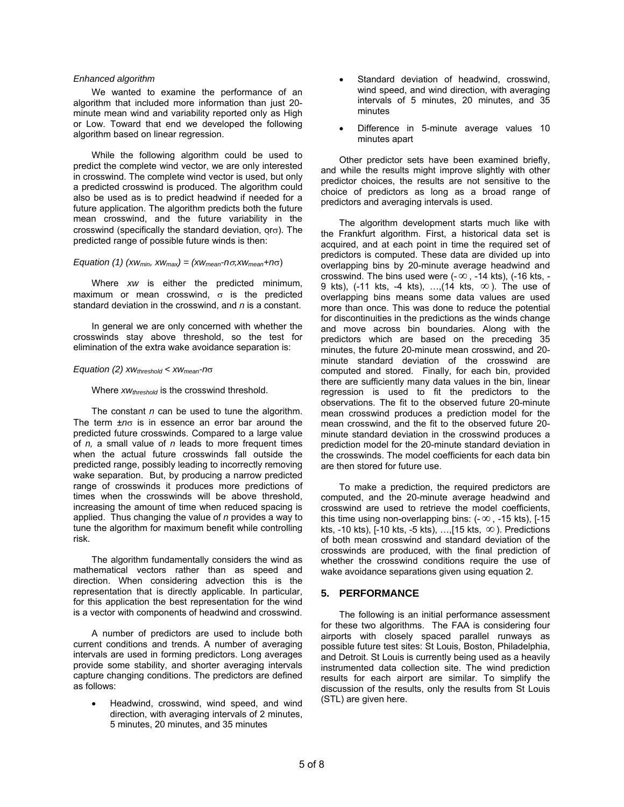### *Enhanced algorithm*

 We wanted to examine the performance of an algorithm that included more information than just 20 minute mean wind and variability reported only as High or Low. Toward that end we developed the following algorithm based on linear regression.

 While the following algorithm could be used to predict the complete wind vector, we are only interested in crosswind. The complete wind vector is used, but only a predicted crosswind is produced. The algorithm could also be used as is to predict headwind if needed for a future application. The algorithm predicts both the future mean crosswind, and the future variability in the crosswind (specifically the standard deviation, orσ). The predicted range of possible future winds is then:

#### *Equation (1)*  $(xw_{min}, xw_{max}) = (xw_{mean} - n\sigma, xw_{mean} + n\sigma)$

 Where *xw* is either the predicted minimum, maximum or mean crosswind,  $\sigma$  is the predicted standard deviation in the crosswind, and *n* is a constant.

 In general we are only concerned with whether the crosswinds stay above threshold, so the test for elimination of the extra wake avoidance separation is:

### *Equation (2) xwthreshold < xwmean-n*σ

Where *xw<sub>threshold</sub>* is the crosswind threshold.

 The constant *n* can be used to tune the algorithm. The term ±*n*σ is in essence an error bar around the predicted future crosswinds. Compared to a large value of *n,* a small value of *n* leads to more frequent times when the actual future crosswinds fall outside the predicted range, possibly leading to incorrectly removing wake separation. But, by producing a narrow predicted range of crosswinds it produces more predictions of times when the crosswinds will be above threshold, increasing the amount of time when reduced spacing is applied. Thus changing the value of *n* provides a way to tune the algorithm for maximum benefit while controlling risk.

 The algorithm fundamentally considers the wind as mathematical vectors rather than as speed and direction. When considering advection this is the representation that is directly applicable. In particular, for this application the best representation for the wind is a vector with components of headwind and crosswind.

 A number of predictors are used to include both current conditions and trends. A number of averaging intervals are used in forming predictors. Long averages provide some stability, and shorter averaging intervals capture changing conditions. The predictors are defined as follows:

• Headwind, crosswind, wind speed, and wind direction, with averaging intervals of 2 minutes, 5 minutes, 20 minutes, and 35 minutes

- Standard deviation of headwind, crosswind, wind speed, and wind direction, with averaging intervals of 5 minutes, 20 minutes, and 35 minutes
- Difference in 5-minute average values 10 minutes apart

 Other predictor sets have been examined briefly, and while the results might improve slightly with other predictor choices, the results are not sensitive to the choice of predictors as long as a broad range of predictors and averaging intervals is used.

 The algorithm development starts much like with the Frankfurt algorithm. First, a historical data set is acquired, and at each point in time the required set of predictors is computed. These data are divided up into overlapping bins by 20-minute average headwind and crosswind. The bins used were ( $-\infty$ , -14 kts), (-16 kts, -9 kts), (-11 kts, -4 kts), …,(14 kts, ∞ ). The use of overlapping bins means some data values are used more than once. This was done to reduce the potential for discontinuities in the predictions as the winds change and move across bin boundaries. Along with the predictors which are based on the preceding 35 minutes, the future 20-minute mean crosswind, and 20 minute standard deviation of the crosswind are computed and stored. Finally, for each bin, provided there are sufficiently many data values in the bin, linear regression is used to fit the predictors to the observations. The fit to the observed future 20-minute mean crosswind produces a prediction model for the mean crosswind, and the fit to the observed future 20 minute standard deviation in the crosswind produces a prediction model for the 20-minute standard deviation in the crosswinds. The model coefficients for each data bin are then stored for future use.

 To make a prediction, the required predictors are computed, and the 20-minute average headwind and crosswind are used to retrieve the model coefficients, this time using non-overlapping bins:  $(-\infty, -15$  kts),  $[-15]$ kts, -10 kts),  $[-10 \text{ kts}, -5 \text{ kts})$ , ..., $[15 \text{ kts}, \infty)$ . Predictions of both mean crosswind and standard deviation of the crosswinds are produced, with the final prediction of whether the crosswind conditions require the use of wake avoidance separations given using equation 2.

# **5. PERFORMANCE**

 The following is an initial performance assessment for these two algorithms. The FAA is considering four airports with closely spaced parallel runways as possible future test sites: St Louis, Boston, Philadelphia, and Detroit. St Louis is currently being used as a heavily instrumented data collection site. The wind prediction results for each airport are similar. To simplify the discussion of the results, only the results from St Louis (STL) are given here.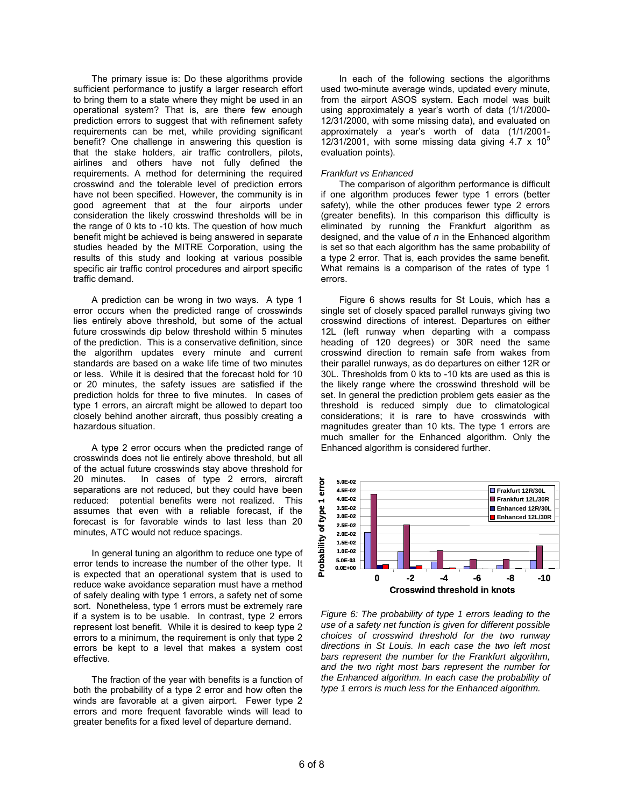The primary issue is: Do these algorithms provide sufficient performance to justify a larger research effort to bring them to a state where they might be used in an operational system? That is, are there few enough prediction errors to suggest that with refinement safety requirements can be met, while providing significant benefit? One challenge in answering this question is that the stake holders, air traffic controllers, pilots, airlines and others have not fully defined the requirements. A method for determining the required crosswind and the tolerable level of prediction errors have not been specified. However, the community is in good agreement that at the four airports under consideration the likely crosswind thresholds will be in the range of 0 kts to -10 kts. The question of how much benefit might be achieved is being answered in separate studies headed by the MITRE Corporation, using the results of this study and looking at various possible specific air traffic control procedures and airport specific traffic demand.

 A prediction can be wrong in two ways. A type 1 error occurs when the predicted range of crosswinds lies entirely above threshold, but some of the actual future crosswinds dip below threshold within 5 minutes of the prediction. This is a conservative definition, since the algorithm updates every minute and current standards are based on a wake life time of two minutes or less. While it is desired that the forecast hold for 10 or 20 minutes, the safety issues are satisfied if the prediction holds for three to five minutes. In cases of type 1 errors, an aircraft might be allowed to depart too closely behind another aircraft, thus possibly creating a hazardous situation.

 A type 2 error occurs when the predicted range of crosswinds does not lie entirely above threshold, but all of the actual future crosswinds stay above threshold for 20 minutes. In cases of type 2 errors, aircraft separations are not reduced, but they could have been reduced: potential benefits were not realized. This assumes that even with a reliable forecast, if the forecast is for favorable winds to last less than 20 minutes, ATC would not reduce spacings.

 In general tuning an algorithm to reduce one type of error tends to increase the number of the other type. It is expected that an operational system that is used to reduce wake avoidance separation must have a method of safely dealing with type 1 errors, a safety net of some sort. Nonetheless, type 1 errors must be extremely rare if a system is to be usable. In contrast, type 2 errors represent lost benefit. While it is desired to keep type 2 errors to a minimum, the requirement is only that type 2 errors be kept to a level that makes a system cost effective.

 The fraction of the year with benefits is a function of both the probability of a type 2 error and how often the winds are favorable at a given airport. Fewer type 2 errors and more frequent favorable winds will lead to greater benefits for a fixed level of departure demand.

 In each of the following sections the algorithms used two-minute average winds, updated every minute, from the airport ASOS system. Each model was built using approximately a year's worth of data (1/1/2000- 12/31/2000, with some missing data), and evaluated on approximately a year's worth of data (1/1/2001- 12/31/2001, with some missing data giving 4.7  $\times$  10<sup>5</sup> evaluation points).

### *Frankfurt vs Enhanced*

 The comparison of algorithm performance is difficult if one algorithm produces fewer type 1 errors (better safety), while the other produces fewer type 2 errors (greater benefits). In this comparison this difficulty is eliminated by running the Frankfurt algorithm as designed, and the value of *n* in the Enhanced algorithm is set so that each algorithm has the same probability of a type 2 error. That is, each provides the same benefit. What remains is a comparison of the rates of type 1 errors.

 Figure 6 shows results for St Louis, which has a single set of closely spaced parallel runways giving two crosswind directions of interest. Departures on either 12L (left runway when departing with a compass heading of 120 degrees) or 30R need the same crosswind direction to remain safe from wakes from their parallel runways, as do departures on either 12R or 30L. Thresholds from 0 kts to -10 kts are used as this is the likely range where the crosswind threshold will be set. In general the prediction problem gets easier as the threshold is reduced simply due to climatological considerations; it is rare to have crosswinds with magnitudes greater than 10 kts. The type 1 errors are much smaller for the Enhanced algorithm. Only the Enhanced algorithm is considered further.



*Figure 6: The probability of type 1 errors leading to the use of a safety net function is given for different possible choices of crosswind threshold for the two runway directions in St Louis. In each case the two left most bars represent the number for the Frankfurt algorithm, and the two right most bars represent the number for the Enhanced algorithm. In each case the probability of type 1 errors is much less for the Enhanced algorithm.*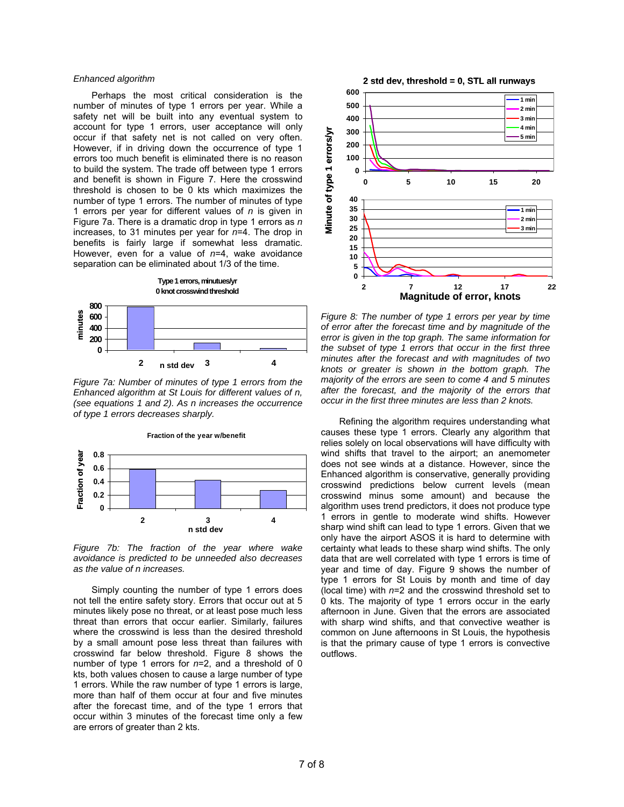#### *Enhanced algorithm*

 Perhaps the most critical consideration is the number of minutes of type 1 errors per year. While a safety net will be built into any eventual system to account for type 1 errors, user acceptance will only occur if that safety net is not called on very often. However, if in driving down the occurrence of type 1 errors too much benefit is eliminated there is no reason to build the system. The trade off between type 1 errors and benefit is shown in Figure 7. Here the crosswind threshold is chosen to be 0 kts which maximizes the number of type 1 errors. The number of minutes of type 1 errors per year for different values of *n* is given in Figure 7a. There is a dramatic drop in type 1 errors as *n* increases, to 31 minutes per year for *n*=4. The drop in benefits is fairly large if somewhat less dramatic. However, even for a value of *n*=4, wake avoidance separation can be eliminated about 1/3 of the time.



*Figure 7a: Number of minutes of type 1 errors from the Enhanced algorithm at St Louis for different values of n, (see equations 1 and 2). As n increases the occurrence of type 1 errors decreases sharply.* 

**Fraction of the year w/benefit**



*Figure 7b: The fraction of the year where wake avoidance is predicted to be unneeded also decreases as the value of n increases.* 

 Simply counting the number of type 1 errors does not tell the entire safety story. Errors that occur out at 5 minutes likely pose no threat, or at least pose much less threat than errors that occur earlier. Similarly, failures where the crosswind is less than the desired threshold by a small amount pose less threat than failures with crosswind far below threshold. Figure 8 shows the number of type 1 errors for *n*=2, and a threshold of 0 kts, both values chosen to cause a large number of type 1 errors. While the raw number of type 1 errors is large, more than half of them occur at four and five minutes after the forecast time, and of the type 1 errors that occur within 3 minutes of the forecast time only a few are errors of greater than 2 kts.



*Figure 8: The number of type 1 errors per year by time of error after the forecast time and by magnitude of the error is given in the top graph. The same information for the subset of type 1 errors that occur in the first three minutes after the forecast and with magnitudes of two knots or greater is shown in the bottom graph. The majority of the errors are seen to come 4 and 5 minutes after the forecast, and the majority of the errors that occur in the first three minutes are less than 2 knots.* 

 Refining the algorithm requires understanding what causes these type 1 errors. Clearly any algorithm that relies solely on local observations will have difficulty with wind shifts that travel to the airport; an anemometer does not see winds at a distance. However, since the Enhanced algorithm is conservative, generally providing crosswind predictions below current levels (mean crosswind minus some amount) and because the algorithm uses trend predictors, it does not produce type 1 errors in gentle to moderate wind shifts. However sharp wind shift can lead to type 1 errors. Given that we only have the airport ASOS it is hard to determine with certainty what leads to these sharp wind shifts. The only data that are well correlated with type 1 errors is time of year and time of day. Figure 9 shows the number of type 1 errors for St Louis by month and time of day (local time) with *n*=2 and the crosswind threshold set to 0 kts. The majority of type 1 errors occur in the early afternoon in June. Given that the errors are associated with sharp wind shifts, and that convective weather is common on June afternoons in St Louis, the hypothesis is that the primary cause of type 1 errors is convective outflows.